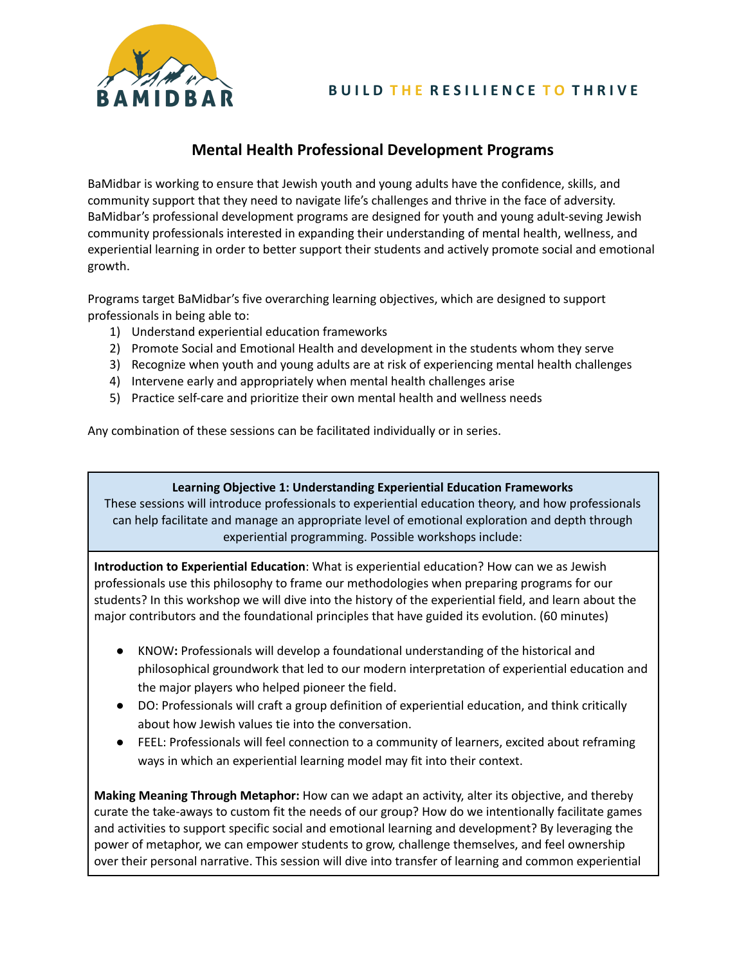

# **Mental Health Professional Development Programs**

BaMidbar is working to ensure that Jewish youth and young adults have the confidence, skills, and community support that they need to navigate life's challenges and thrive in the face of adversity. BaMidbar's professional development programs are designed for youth and young adult-seving Jewish community professionals interested in expanding their understanding of mental health, wellness, and experiential learning in order to better support their students and actively promote social and emotional growth.

Programs target BaMidbar's five overarching learning objectives, which are designed to support professionals in being able to:

- 1) Understand experiential education frameworks
- 2) Promote Social and Emotional Health and development in the students whom they serve
- 3) Recognize when youth and young adults are at risk of experiencing mental health challenges
- 4) Intervene early and appropriately when mental health challenges arise
- 5) Practice self-care and prioritize their own mental health and wellness needs

Any combination of these sessions can be facilitated individually or in series.

#### **Learning Objective 1: Understanding Experiential Education Frameworks**

These sessions will introduce professionals to experiential education theory, and how professionals can help facilitate and manage an appropriate level of emotional exploration and depth through experiential programming. Possible workshops include:

**Introduction to Experiential Education**: What is experiential education? How can we as Jewish professionals use this philosophy to frame our methodologies when preparing programs for our students? In this workshop we will dive into the history of the experiential field, and learn about the major contributors and the foundational principles that have guided its evolution. (60 minutes)

- KNOW**:** Professionals will develop a foundational understanding of the historical and philosophical groundwork that led to our modern interpretation of experiential education and the major players who helped pioneer the field.
- DO: Professionals will craft a group definition of experiential education, and think critically about how Jewish values tie into the conversation.
- FEEL: Professionals will feel connection to a community of learners, excited about reframing ways in which an experiential learning model may fit into their context.

**Making Meaning Through Metaphor:** How can we adapt an activity, alter its objective, and thereby curate the take-aways to custom fit the needs of our group? How do we intentionally facilitate games and activities to support specific social and emotional learning and development? By leveraging the power of metaphor, we can empower students to grow, challenge themselves, and feel ownership over their personal narrative. This session will dive into transfer of learning and common experiential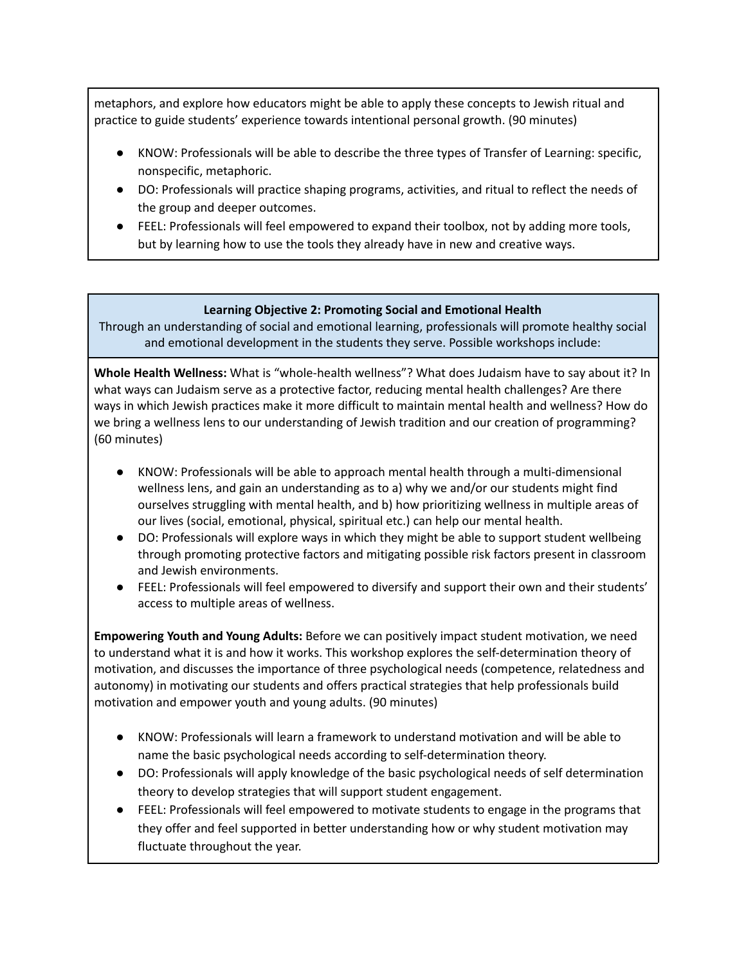metaphors, and explore how educators might be able to apply these concepts to Jewish ritual and practice to guide students' experience towards intentional personal growth. (90 minutes)

- KNOW: Professionals will be able to describe the three types of Transfer of Learning: specific, nonspecific, metaphoric.
- DO: Professionals will practice shaping programs, activities, and ritual to reflect the needs of the group and deeper outcomes.
- FEEL: Professionals will feel empowered to expand their toolbox, not by adding more tools, but by learning how to use the tools they already have in new and creative ways.

## **Learning Objective 2: Promoting Social and Emotional Health**

Through an understanding of social and emotional learning, professionals will promote healthy social and emotional development in the students they serve. Possible workshops include:

**Whole Health Wellness:** What is "whole-health wellness"? What does Judaism have to say about it? In what ways can Judaism serve as a protective factor, reducing mental health challenges? Are there ways in which Jewish practices make it more difficult to maintain mental health and wellness? How do we bring a wellness lens to our understanding of Jewish tradition and our creation of programming? (60 minutes)

- KNOW: Professionals will be able to approach mental health through a multi-dimensional wellness lens, and gain an understanding as to a) why we and/or our students might find ourselves struggling with mental health, and b) how prioritizing wellness in multiple areas of our lives (social, emotional, physical, spiritual etc.) can help our mental health.
- DO: Professionals will explore ways in which they might be able to support student wellbeing through promoting protective factors and mitigating possible risk factors present in classroom and Jewish environments.
- FEEL: Professionals will feel empowered to diversify and support their own and their students' access to multiple areas of wellness.

**Empowering Youth and Young Adults:** Before we can positively impact student motivation, we need to understand what it is and how it works. This workshop explores the self-determination theory of motivation, and discusses the importance of three psychological needs (competence, relatedness and autonomy) in motivating our students and offers practical strategies that help professionals build motivation and empower youth and young adults. (90 minutes)

- KNOW: Professionals will learn a framework to understand motivation and will be able to name the basic psychological needs according to self-determination theory.
- DO: Professionals will apply knowledge of the basic psychological needs of self determination theory to develop strategies that will support student engagement.
- FEEL: Professionals will feel empowered to motivate students to engage in the programs that they offer and feel supported in better understanding how or why student motivation may fluctuate throughout the year.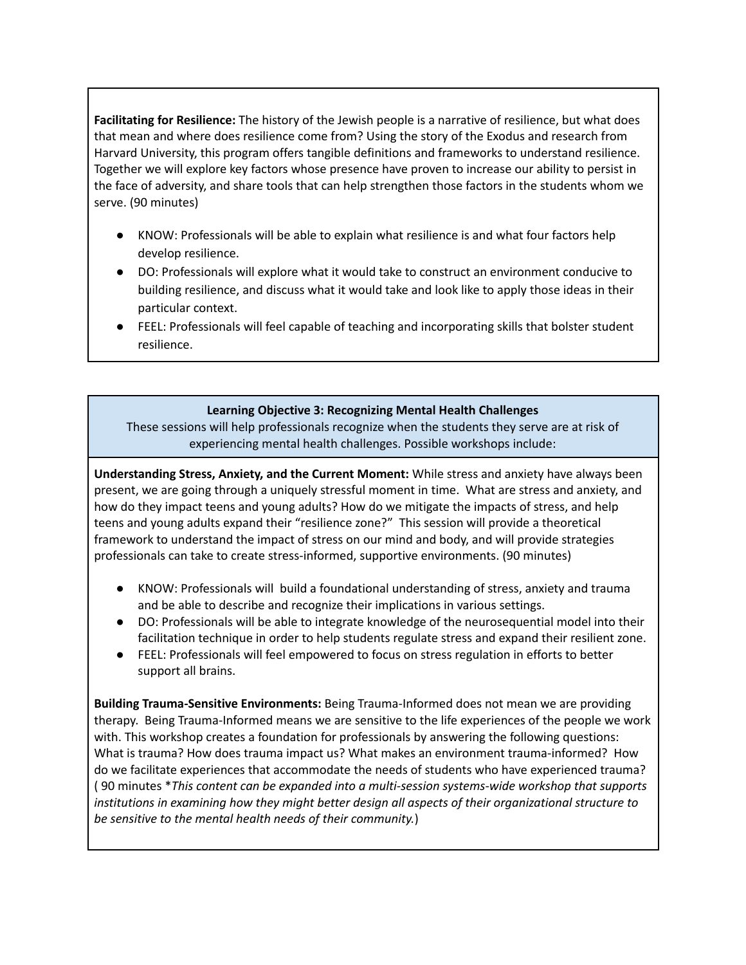**Facilitating for Resilience:** The history of the Jewish people is a narrative of resilience, but what does that mean and where does resilience come from? Using the story of the Exodus and research from Harvard University, this program offers tangible definitions and frameworks to understand resilience. Together we will explore key factors whose presence have proven to increase our ability to persist in the face of adversity, and share tools that can help strengthen those factors in the students whom we serve. (90 minutes)

- KNOW: Professionals will be able to explain what resilience is and what four factors help develop resilience.
- DO: Professionals will explore what it would take to construct an environment conducive to building resilience, and discuss what it would take and look like to apply those ideas in their particular context.
- FEEL: Professionals will feel capable of teaching and incorporating skills that bolster student resilience.

#### **Learning Objective 3: Recognizing Mental Health Challenges**

These sessions will help professionals recognize when the students they serve are at risk of experiencing mental health challenges. Possible workshops include:

**Understanding Stress, Anxiety, and the Current Moment:** While stress and anxiety have always been present, we are going through a uniquely stressful moment in time. What are stress and anxiety, and how do they impact teens and young adults? How do we mitigate the impacts of stress, and help teens and young adults expand their "resilience zone?" This session will provide a theoretical framework to understand the impact of stress on our mind and body, and will provide strategies professionals can take to create stress-informed, supportive environments. (90 minutes)

- KNOW: Professionals will build a foundational understanding of stress, anxiety and trauma and be able to describe and recognize their implications in various settings.
- DO: Professionals will be able to integrate knowledge of the neurosequential model into their facilitation technique in order to help students regulate stress and expand their resilient zone.
- FEEL: Professionals will feel empowered to focus on stress regulation in efforts to better support all brains.

**Building Trauma-Sensitive Environments:** Being Trauma-Informed does not mean we are providing therapy. Being Trauma-Informed means we are sensitive to the life experiences of the people we work with. This workshop creates a foundation for professionals by answering the following questions: What is trauma? How does trauma impact us? What makes an environment trauma-informed? How do we facilitate experiences that accommodate the needs of students who have experienced trauma? ( 90 minutes \**This content can be expanded into a multi-session systems-wide workshop that supports institutions in examining how they might better design all aspects of their organizational structure to be sensitive to the mental health needs of their community.*)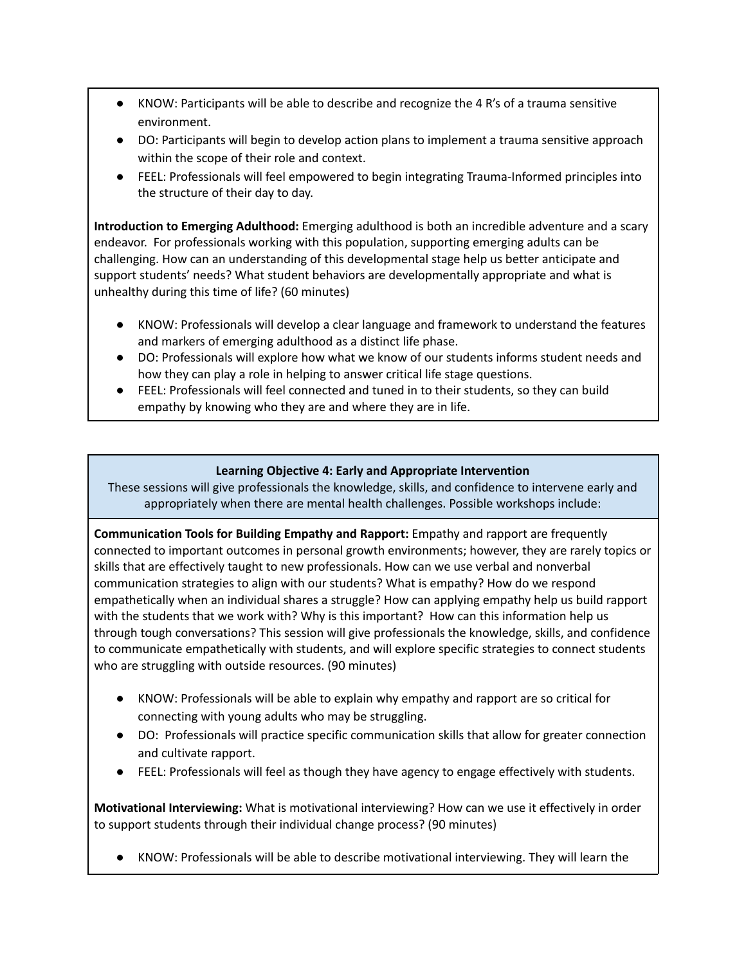- KNOW: Participants will be able to describe and recognize the 4 R's of a trauma sensitive environment.
- DO: Participants will begin to develop action plans to implement a trauma sensitive approach within the scope of their role and context.
- FEEL: Professionals will feel empowered to begin integrating Trauma-Informed principles into the structure of their day to day.

**Introduction to Emerging Adulthood:** Emerging adulthood is both an incredible adventure and a scary endeavor. For professionals working with this population, supporting emerging adults can be challenging. How can an understanding of this developmental stage help us better anticipate and support students' needs? What student behaviors are developmentally appropriate and what is unhealthy during this time of life? (60 minutes)

- KNOW: Professionals will develop a clear language and framework to understand the features and markers of emerging adulthood as a distinct life phase.
- DO: Professionals will explore how what we know of our students informs student needs and how they can play a role in helping to answer critical life stage questions.
- FEEL: Professionals will feel connected and tuned in to their students, so they can build empathy by knowing who they are and where they are in life.

## **Learning Objective 4: Early and Appropriate Intervention**

These sessions will give professionals the knowledge, skills, and confidence to intervene early and appropriately when there are mental health challenges. Possible workshops include:

**Communication Tools for Building Empathy and Rapport:** Empathy and rapport are frequently connected to important outcomes in personal growth environments; however, they are rarely topics or skills that are effectively taught to new professionals. How can we use verbal and nonverbal communication strategies to align with our students? What is empathy? How do we respond empathetically when an individual shares a struggle? How can applying empathy help us build rapport with the students that we work with? Why is this important? How can this information help us through tough conversations? This session will give professionals the knowledge, skills, and confidence to communicate empathetically with students, and will explore specific strategies to connect students who are struggling with outside resources. (90 minutes)

- KNOW: Professionals will be able to explain why empathy and rapport are so critical for connecting with young adults who may be struggling.
- DO: Professionals will practice specific communication skills that allow for greater connection and cultivate rapport.
- FEEL: Professionals will feel as though they have agency to engage effectively with students.

**Motivational Interviewing:** What is motivational interviewing? How can we use it effectively in order to support students through their individual change process? (90 minutes)

● KNOW: Professionals will be able to describe motivational interviewing. They will learn the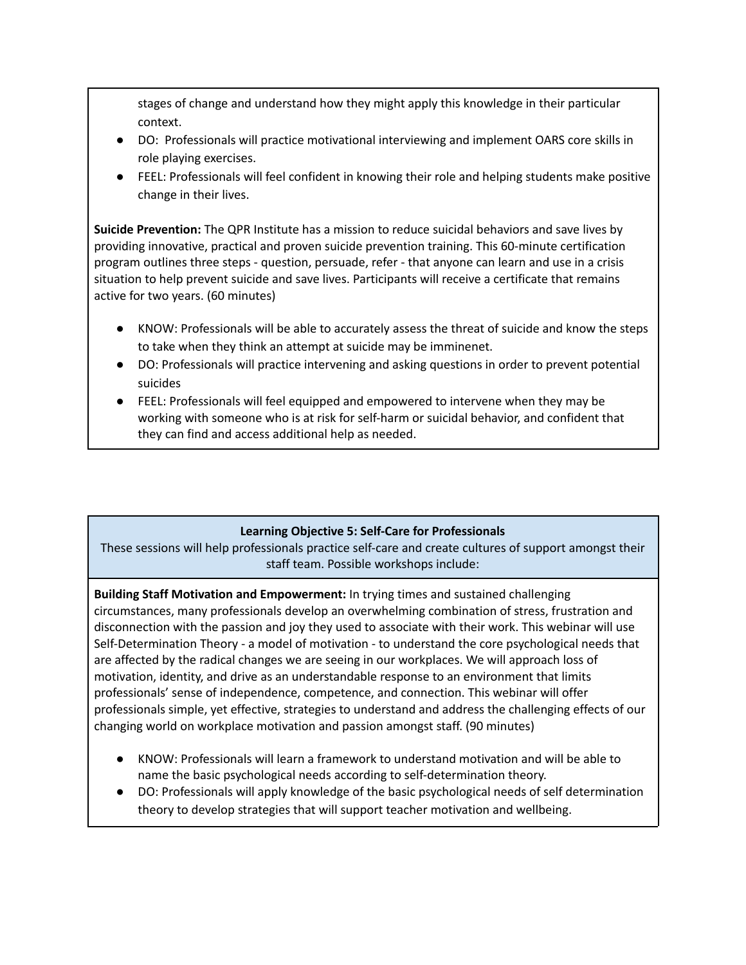stages of change and understand how they might apply this knowledge in their particular context.

- DO: Professionals will practice motivational interviewing and implement OARS core skills in role playing exercises.
- FEEL: Professionals will feel confident in knowing their role and helping students make positive change in their lives.

**Suicide Prevention:** The QPR Institute has a mission to reduce suicidal behaviors and save lives by providing innovative, practical and proven suicide prevention training. This 60-minute certification program outlines three steps - question, persuade, refer - that anyone can learn and use in a crisis situation to help prevent suicide and save lives. Participants will receive a certificate that remains active for two years. (60 minutes)

- KNOW: Professionals will be able to accurately assess the threat of suicide and know the steps to take when they think an attempt at suicide may be imminenet.
- DO: Professionals will practice intervening and asking questions in order to prevent potential suicides
- FEEL: Professionals will feel equipped and empowered to intervene when they may be working with someone who is at risk for self-harm or suicidal behavior, and confident that they can find and access additional help as needed.

## **Learning Objective 5: Self-Care for Professionals**

These sessions will help professionals practice self-care and create cultures of support amongst their staff team. Possible workshops include:

**Building Staff Motivation and Empowerment:** In trying times and sustained challenging circumstances, many professionals develop an overwhelming combination of stress, frustration and disconnection with the passion and joy they used to associate with their work. This webinar will use Self-Determination Theory - a model of motivation - to understand the core psychological needs that are affected by the radical changes we are seeing in our workplaces. We will approach loss of motivation, identity, and drive as an understandable response to an environment that limits professionals' sense of independence, competence, and connection. This webinar will offer professionals simple, yet effective, strategies to understand and address the challenging effects of our changing world on workplace motivation and passion amongst staff. (90 minutes)

- KNOW: Professionals will learn a framework to understand motivation and will be able to name the basic psychological needs according to self-determination theory.
- DO: Professionals will apply knowledge of the basic psychological needs of self determination theory to develop strategies that will support teacher motivation and wellbeing.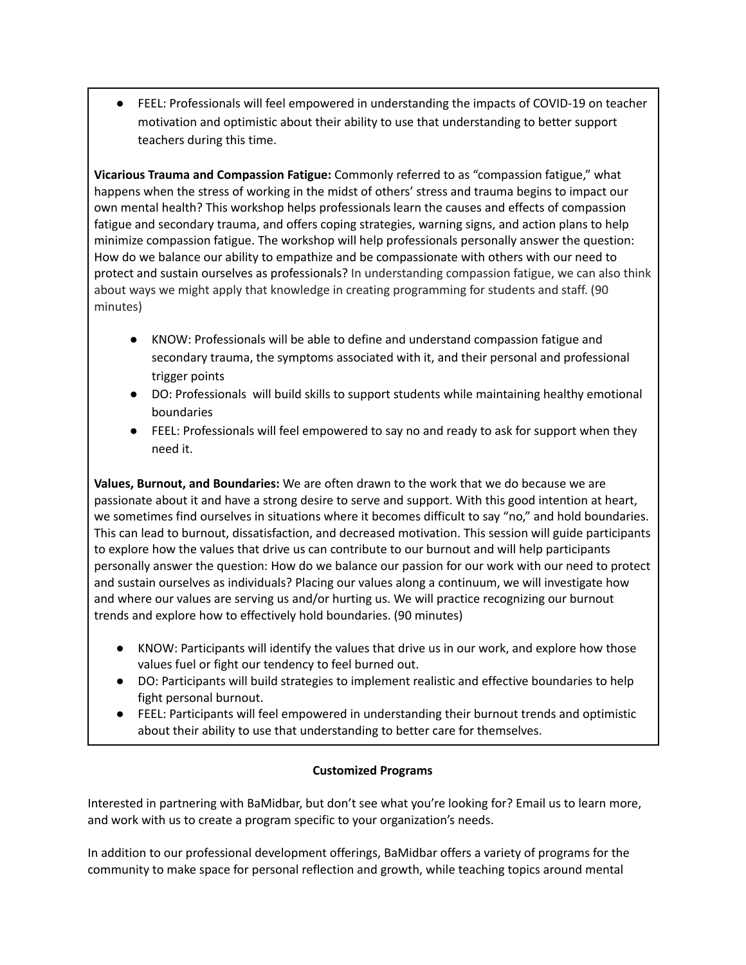FEEL: Professionals will feel empowered in understanding the impacts of COVID-19 on teacher motivation and optimistic about their ability to use that understanding to better support teachers during this time.

**Vicarious Trauma and Compassion Fatigue:** Commonly referred to as "compassion fatigue," what happens when the stress of working in the midst of others' stress and trauma begins to impact our own mental health? This workshop helps professionals learn the causes and effects of compassion fatigue and secondary trauma, and offers coping strategies, warning signs, and action plans to help minimize compassion fatigue. The workshop will help professionals personally answer the question: How do we balance our ability to empathize and be compassionate with others with our need to protect and sustain ourselves as professionals? In understanding compassion fatigue, we can also think about ways we might apply that knowledge in creating programming for students and staff. (90 minutes)

- KNOW: Professionals will be able to define and understand compassion fatigue and secondary trauma, the symptoms associated with it, and their personal and professional trigger points
- DO: Professionals will build skills to support students while maintaining healthy emotional boundaries
- FEEL: Professionals will feel empowered to say no and ready to ask for support when they need it.

**Values, Burnout, and Boundaries:** We are often drawn to the work that we do because we are passionate about it and have a strong desire to serve and support. With this good intention at heart, we sometimes find ourselves in situations where it becomes difficult to say "no," and hold boundaries. This can lead to burnout, dissatisfaction, and decreased motivation. This session will guide participants to explore how the values that drive us can contribute to our burnout and will help participants personally answer the question: How do we balance our passion for our work with our need to protect and sustain ourselves as individuals? Placing our values along a continuum, we will investigate how and where our values are serving us and/or hurting us. We will practice recognizing our burnout trends and explore how to effectively hold boundaries. (90 minutes)

- KNOW: Participants will identify the values that drive us in our work, and explore how those values fuel or fight our tendency to feel burned out.
- DO: Participants will build strategies to implement realistic and effective boundaries to help fight personal burnout.
- **●** FEEL: Participants will feel empowered in understanding their burnout trends and optimistic about their ability to use that understanding to better care for themselves.

## **Customized Programs**

Interested in partnering with BaMidbar, but don't see what you're looking for? Email us to learn more, and work with us to create a program specific to your organization's needs.

In addition to our professional development offerings, BaMidbar offers a variety of programs for the community to make space for personal reflection and growth, while teaching topics around mental